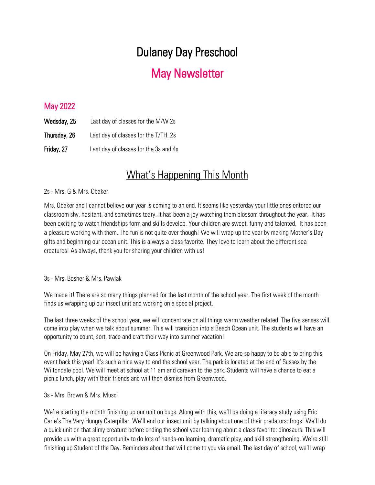# Dulaney Day Preschool

## May Newsletter

### May 2022

| Wedsday, 25  | Last day of classes for the M/W 2s    |
|--------------|---------------------------------------|
| Thursday, 26 | Last day of classes for the T/TH 2s   |
| Friday, 27   | Last day of classes for the 3s and 4s |

## What's Happening This Month

#### 2s - Mrs. G & Mrs. Obaker

Mrs. Obaker and I cannot believe our year is coming to an end. It seems like yesterday your little ones entered our classroom shy, hesitant, and sometimes teary. It has been a joy watching them blossom throughout the year. It has been exciting to watch friendships form and skills develop. Your children are sweet, funny and talented. It has been a pleasure working with them. The fun is not quite over though! We will wrap up the year by making Mother's Day gifts and beginning our ocean unit. This is always a class favorite. They love to learn about the different sea creatures! As always, thank you for sharing your children with us!

#### 3s - Mrs. Bosher & Mrs. Pawlak

We made it! There are so many things planned for the last month of the school year. The first week of the month finds us wrapping up our insect unit and working on a special project.

The last three weeks of the school year, we will concentrate on all things warm weather related. The five senses will come into play when we talk about summer. This will transition into a Beach Ocean unit. The students will have an opportunity to count, sort, trace and craft their way into summer vacation!

On Friday, May 27th, we will be having a Class Picnic at Greenwood Park. We are so happy to be able to bring this event back this year! It's such a nice way to end the school year. The park is located at the end of Sussex by the Wiltondale pool. We will meet at school at 11 am and caravan to the park. Students will have a chance to eat a picnic lunch, play with their friends and will then dismiss from Greenwood.

#### 3s - Mrs. Brown & Mrs. Musci

We're starting the month finishing up our unit on bugs. Along with this, we'll be doing a literacy study using Eric Carle's The Very Hungry Caterpillar. We'll end our insect unit by talking about one of their predators: frogs! We'll do a quick unit on that slimy creature before ending the school year learning about a class favorite: dinosaurs. This will provide us with a great opportunity to do lots of hands-on learning, dramatic play, and skill strengthening. We're still finishing up Student of the Day. Reminders about that will come to you via email. The last day of school, we'll wrap